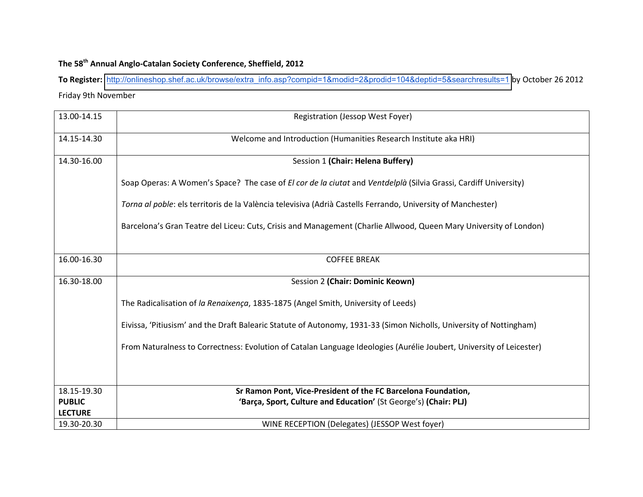## The 58<sup>th</sup> Annual Anglo-Catalan Society Conference, Sheffield, 2012

To Register: [http://onlineshop.shef.ac.uk/browse/extra\\_info.asp?compid=1&modid=2&prodid=104&deptid=5&searchresults=1](http://onlineshop.shef.ac.uk/browse/extra_info.asp?compid=1&modid=2&prodid=104&deptid=5&searchresults=1) by October 26 2012 Friday 9th November

| 13.00-14.15    | <b>Registration (Jessop West Foyer)</b>                                                                              |  |
|----------------|----------------------------------------------------------------------------------------------------------------------|--|
| 14.15-14.30    | Welcome and Introduction (Humanities Research Institute aka HRI)                                                     |  |
| 14.30-16.00    | Session 1 (Chair: Helena Buffery)                                                                                    |  |
|                | Soap Operas: A Women's Space? The case of El cor de la ciutat and Ventdelplà (Silvia Grassi, Cardiff University)     |  |
|                | Torna al poble: els territoris de la València televisiva (Adrià Castells Ferrando, University of Manchester)         |  |
|                | Barcelona's Gran Teatre del Liceu: Cuts, Crisis and Management (Charlie Allwood, Queen Mary University of London)    |  |
| 16.00-16.30    | <b>COFFEE BREAK</b>                                                                                                  |  |
|                |                                                                                                                      |  |
| 16.30-18.00    | Session 2 (Chair: Dominic Keown)                                                                                     |  |
|                | The Radicalisation of la Renaixença, 1835-1875 (Angel Smith, University of Leeds)                                    |  |
|                | Eivissa, 'Pitiusism' and the Draft Balearic Statute of Autonomy, 1931-33 (Simon Nicholls, University of Nottingham)  |  |
|                | From Naturalness to Correctness: Evolution of Catalan Language Ideologies (Aurélie Joubert, University of Leicester) |  |
|                |                                                                                                                      |  |
| 18.15-19.30    | Sr Ramon Pont, Vice-President of the FC Barcelona Foundation,                                                        |  |
| <b>PUBLIC</b>  | 'Barça, Sport, Culture and Education' (St George's) (Chair: PLJ)                                                     |  |
| <b>LECTURE</b> |                                                                                                                      |  |
| 19.30-20.30    | WINE RECEPTION (Delegates) (JESSOP West foyer)                                                                       |  |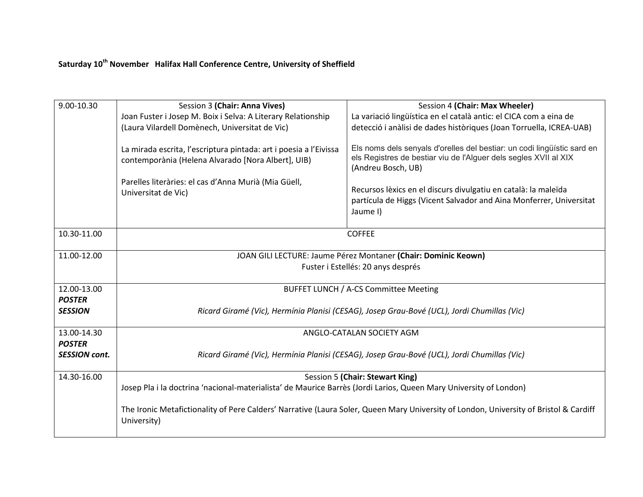## Saturday 10<sup>th</sup> November Halifax Hall Conference Centre, University of Sheffield

| 9.00-10.30                            | Session 3 (Chair: Anna Vives)                                                                                                                        | Session 4 (Chair: Max Wheeler)                                                                                                                                    |  |
|---------------------------------------|------------------------------------------------------------------------------------------------------------------------------------------------------|-------------------------------------------------------------------------------------------------------------------------------------------------------------------|--|
|                                       | Joan Fuster i Josep M. Boix i Selva: A Literary Relationship                                                                                         | La variació lingüística en el català antic: el CICA com a eina de                                                                                                 |  |
|                                       | (Laura Vilardell Domènech, Universitat de Vic)                                                                                                       | detecció i anàlisi de dades històriques (Joan Torruella, ICREA-UAB)                                                                                               |  |
|                                       | La mirada escrita, l'escriptura pintada: art i poesia a l'Eivissa<br>contemporània (Helena Alvarado [Nora Albert], UIB)                              | Els noms dels senyals d'orelles del bestiar: un codi lingüístic sard en<br>els Registres de bestiar viu de l'Alguer dels segles XVII al XIX<br>(Andreu Bosch, UB) |  |
|                                       | Parelles literàries: el cas d'Anna Murià (Mia Güell,<br>Universitat de Vic)                                                                          | Recursos lèxics en el discurs divulgatiu en català: la maleïda<br>partícula de Higgs (Vicent Salvador and Aina Monferrer, Universitat<br>Jaume I)                 |  |
| 10.30-11.00                           | <b>COFFEE</b>                                                                                                                                        |                                                                                                                                                                   |  |
| 11.00-12.00                           | JOAN GILI LECTURE: Jaume Pérez Montaner (Chair: Dominic Keown)                                                                                       |                                                                                                                                                                   |  |
|                                       | Fuster i Estellés: 20 anys després                                                                                                                   |                                                                                                                                                                   |  |
| 12.00-13.00                           | BUFFET LUNCH / A-CS Committee Meeting                                                                                                                |                                                                                                                                                                   |  |
| <b>POSTER</b><br><b>SESSION</b>       | Ricard Giramé (Vic), Hermínia Planisi (CESAG), Josep Grau-Bové (UCL), Jordi Chumillas (Vic)                                                          |                                                                                                                                                                   |  |
| 13.00-14.30                           | ANGLO-CATALAN SOCIETY AGM                                                                                                                            |                                                                                                                                                                   |  |
| <b>POSTER</b><br><b>SESSION cont.</b> | Ricard Giramé (Vic), Hermínia Planisi (CESAG), Josep Grau-Bové (UCL), Jordi Chumillas (Vic)                                                          |                                                                                                                                                                   |  |
| 14.30-16.00                           | Session 5 (Chair: Stewart King)                                                                                                                      |                                                                                                                                                                   |  |
|                                       | Josep Pla i la doctrina 'nacional-materialista' de Maurice Barrès (Jordi Larios, Queen Mary University of London)                                    |                                                                                                                                                                   |  |
|                                       | The Ironic Metafictionality of Pere Calders' Narrative (Laura Soler, Queen Mary University of London, University of Bristol & Cardiff<br>University) |                                                                                                                                                                   |  |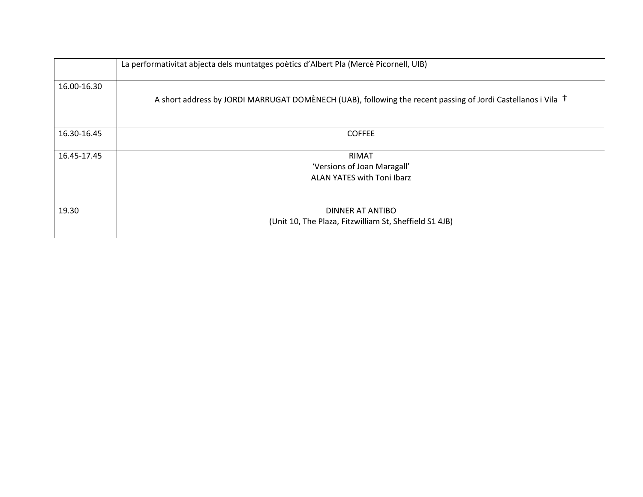|                             | La performativitat abjecta dels muntatges poètics d'Albert Pla (Mercè Picornell, UIB)                                   |  |
|-----------------------------|-------------------------------------------------------------------------------------------------------------------------|--|
| 16.00-16.30                 | A short address by JORDI MARRUGAT DOMÈNECH (UAB), following the recent passing of Jordi Castellanos i Vila <sup>†</sup> |  |
| 16.30-16.45                 | <b>COFFEE</b>                                                                                                           |  |
| 16.45-17.45                 | <b>RIMAT</b>                                                                                                            |  |
| 'Versions of Joan Maragall' |                                                                                                                         |  |
|                             | ALAN YATES with Toni Ibarz                                                                                              |  |
| 19.30                       | DINNER AT ANTIBO<br>(Unit 10, The Plaza, Fitzwilliam St, Sheffield S1 4JB)                                              |  |